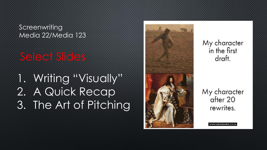**Screenwriting** Media 22/Media 123

Select Slides

1. Writing "Visually" 2. A Quick Recap 3. The Art of Pitching



My character in the first draft.

My character after 20 rewrites.

/WW.WRITERSWRITE.CO.Z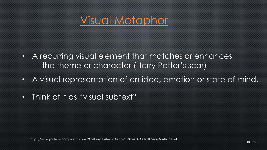## [Visual Metaphor](https://www.youtube.com/watch%3Fv=2qYXoJtuzZg&list=RDCMUCeO18n9AxKQS0BQfL6AamQw&index=1)

- A recurring visual element that matches or enhances the theme or character (Harry Potter's scar)
- A visual representation of an idea, emotion or state of mind.
- Think of it as "visual subtext"

https://www.youtube.com/watch?v=2qYXoJtuzZg&list=RDCMUCeO18n9AxKQS0BQfL6AamQw&index=1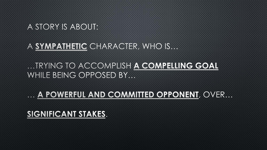### A STORY IS ABOUT:

#### A SYMPATHETIC CHARACTER, WHO IS...

...TRYING TO ACCOMPLISH A COMPELLING GOAL WHILE BEING OPPOSED BY...

... A POWERFUL AND COMMITTED OPPONENT, OVER...

SIGNIFICANT STAKES.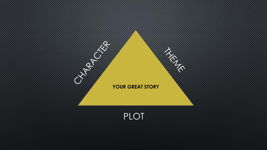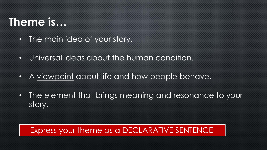# **Theme is…**

- The main idea of your story.
- Universal ideas about the human condition.
- A viewpoint about life and how people behave.
- The element that brings meaning and resonance to your story.

### Express your theme as a DECLARATIVE SENTENCE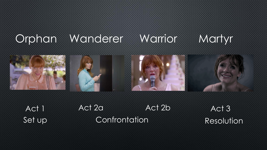# Orphan Wanderer Warrior Martyr



Act 1 Act 2a Act 2b Act 3 Set up Confrontation Resolution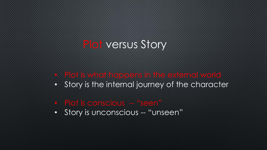### Plot versus Story

- Plot is what happens in the external world
- Story is the internal journey of the character

#### • Plot is conscious -- "seen"

• Story is unconscious -- "unseen"